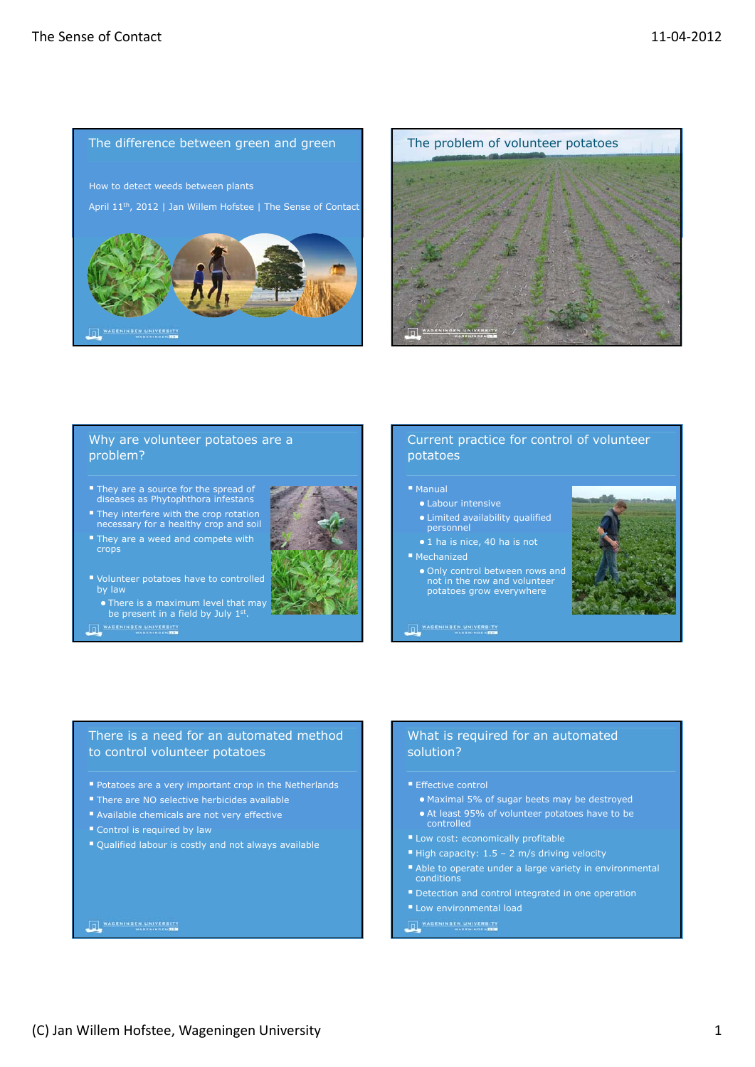



# Why are volunteer potatoes are a problem?

- **They are a source for the spread of** diseases as *Phytophthora infestans*
- They interfere with the crop rotation necessary for a healthy crop and soil
- They are a weed and compete with crops
- Volunteer potatoes have to controlled
	- There is a maximum level that may be present in a field by July 1st.

O WARENINGEN UNIVERSITY

# potatoes  $M$ Manual

Current practice for control of volunteer

# ● Labour intensive

- Limited availability qualified personnel
- 1 ha is nice, 40 ha is not

#### ■ Mechanized

● Only control between rows and not in the row and volunteer potatoes grow everywhere



# **THE WARENINGEN UNIVERSITY**

# There is a need for an automated method to control volunteer potatoes

- **Potatoes are a very important crop in the Netherlands**
- There are NO selective herbicides available
- Available chemicals are not very effective
- Control is required by law
- Qualified labour is costly and not always available

# **DE WARENINGEN UNIVERSITY**

# What is required for an automated solution?

- **Effective control**
- Maximal 5% of sugar beets may be destroyed
- At least 95% of volunteer potatoes have to be controlled
- Low cost: economically profitable
- $\blacksquare$  High capacity: 1.5 2 m/s driving velocity
- Able to operate under a large variety in environmental conditions
- Detection and control integrated in one operation
- **Low environmental load**
- O WARENINGEN UNIVERSITY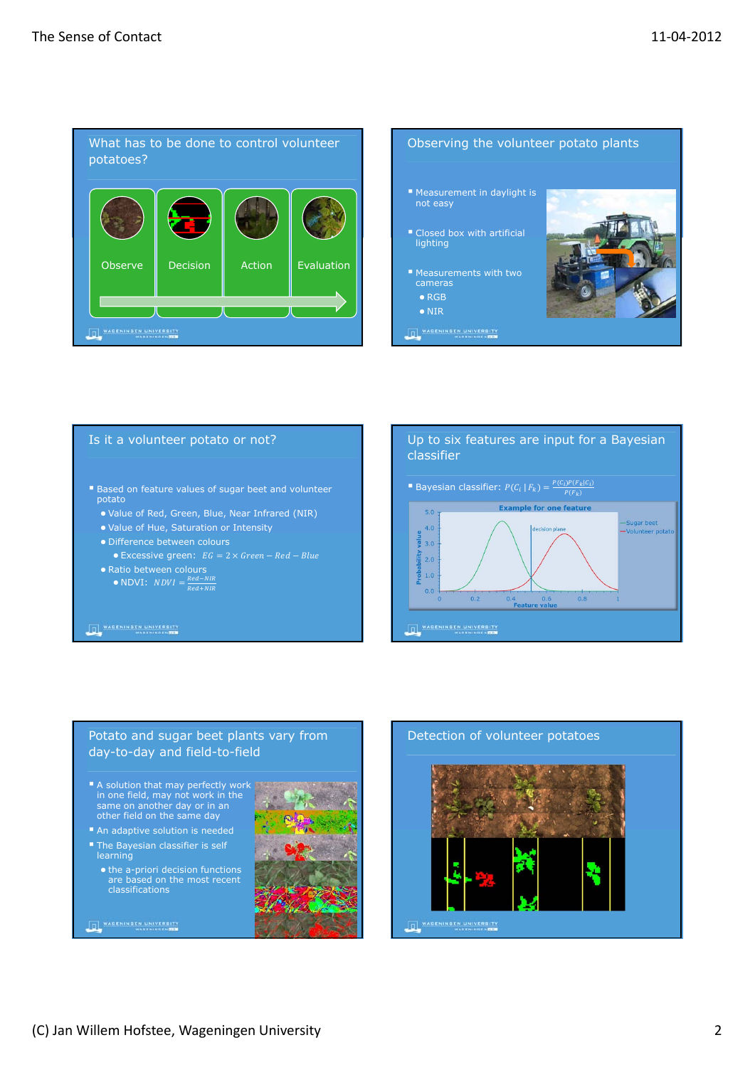

### Observing the volunteer potato plants

- Measurement in daylight is not easy
- Closed box with artificial lighting
- Measurements with two cameras ● RGB
	- NIR
- **DE WARENINGEN UNIVERSITY**



### Is it a volunteer potato or not?

- Based on feature values of sugar beet and volunteer potato
	- Value of Red, Green, Blue, Near Infrared (NIR)
	- Value of Hue, Saturation or Intensity
	- Difference between colours • Excessive green:  $EG = 2 \times Green - Red - Blue$
	- Ratio between colours
		- NDVI:  $NDVI = \frac{Red-NIR}{Red+NIR}$

#### **DE WARENINGEN UNIVERSITY**



## Potato and sugar beet plants vary from day-to-day and field-to-field

- A solution that may perfectly work in one field, may not work in the same on another day or in an other field on the same day
- An adaptive solution is needed
- **The Bayesian classifier is self** learning

**DE WARENINGEN UNIVERSITY** 

● the a-priori decision functions are based on the most recent classifications



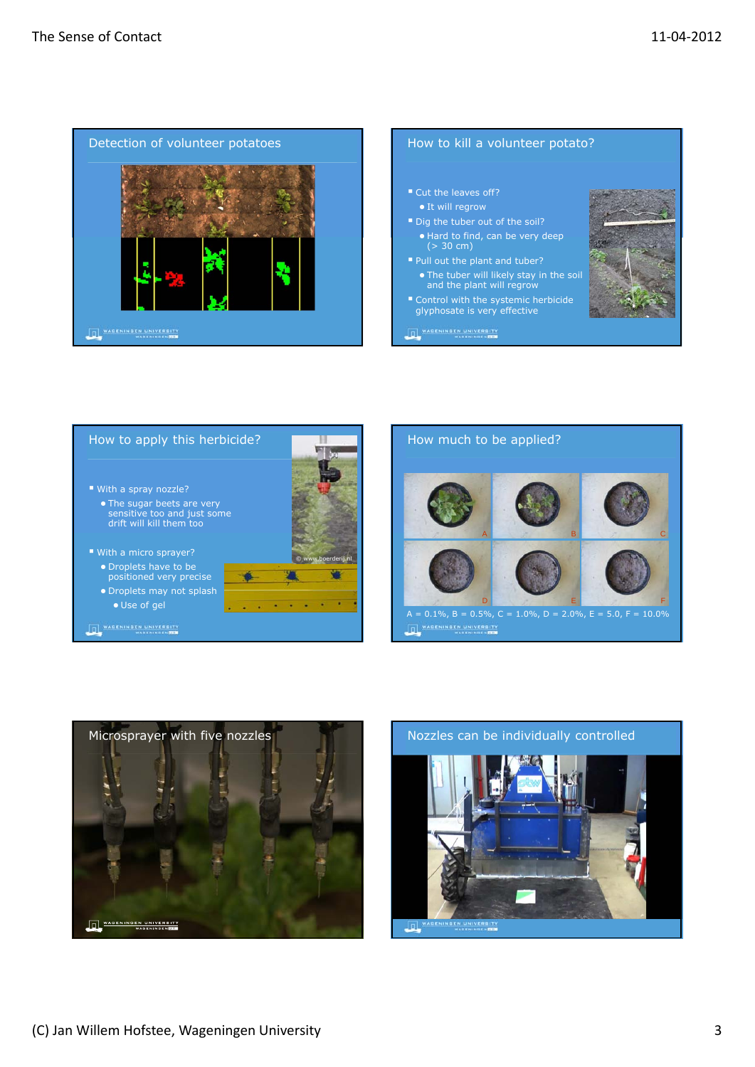

- Cut the leaves off?
- $\bullet$  It will regrow
- Dig the tuber out of the soil? ● Hard to find, can be very deep (> 30 cm)
- Pull out the plant and tuber?
- The tuber will likely stay in the soil and the plant will regrow
- Control with the systemic herbicide glyphosate is very effective

**DE WARENINGEN UNIVERSITY**